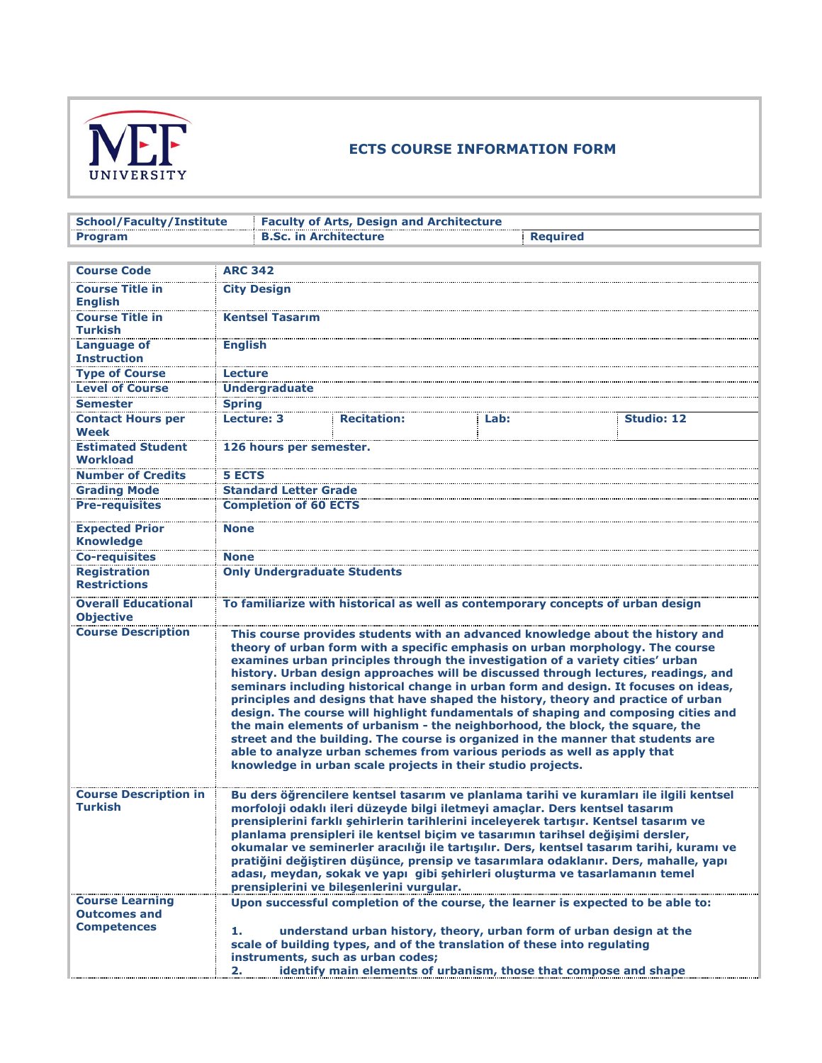

## **ECTS COURSE INFORMATION FORM**

| <b>School/Faculty/Institute</b>                                                                                                                                                                                                                                                                                                                                                                                                                                                                                                                                                                                                                                                                                                                                                                                                                                                                                          | <b>Faculty of Arts, Design and Architecture</b> |                                                                                                                               |                   |  |
|--------------------------------------------------------------------------------------------------------------------------------------------------------------------------------------------------------------------------------------------------------------------------------------------------------------------------------------------------------------------------------------------------------------------------------------------------------------------------------------------------------------------------------------------------------------------------------------------------------------------------------------------------------------------------------------------------------------------------------------------------------------------------------------------------------------------------------------------------------------------------------------------------------------------------|-------------------------------------------------|-------------------------------------------------------------------------------------------------------------------------------|-------------------|--|
| <b>B.Sc. in Architecture</b><br><b>Required</b>                                                                                                                                                                                                                                                                                                                                                                                                                                                                                                                                                                                                                                                                                                                                                                                                                                                                          |                                                 |                                                                                                                               |                   |  |
|                                                                                                                                                                                                                                                                                                                                                                                                                                                                                                                                                                                                                                                                                                                                                                                                                                                                                                                          |                                                 |                                                                                                                               |                   |  |
| <b>ARC 342</b>                                                                                                                                                                                                                                                                                                                                                                                                                                                                                                                                                                                                                                                                                                                                                                                                                                                                                                           |                                                 |                                                                                                                               |                   |  |
| <b>City Design</b>                                                                                                                                                                                                                                                                                                                                                                                                                                                                                                                                                                                                                                                                                                                                                                                                                                                                                                       |                                                 |                                                                                                                               |                   |  |
| <b>Kentsel Tasarım</b>                                                                                                                                                                                                                                                                                                                                                                                                                                                                                                                                                                                                                                                                                                                                                                                                                                                                                                   |                                                 |                                                                                                                               |                   |  |
| <b>English</b>                                                                                                                                                                                                                                                                                                                                                                                                                                                                                                                                                                                                                                                                                                                                                                                                                                                                                                           |                                                 |                                                                                                                               |                   |  |
| Lecture                                                                                                                                                                                                                                                                                                                                                                                                                                                                                                                                                                                                                                                                                                                                                                                                                                                                                                                  |                                                 |                                                                                                                               |                   |  |
| <b>Undergraduate</b>                                                                                                                                                                                                                                                                                                                                                                                                                                                                                                                                                                                                                                                                                                                                                                                                                                                                                                     |                                                 |                                                                                                                               |                   |  |
|                                                                                                                                                                                                                                                                                                                                                                                                                                                                                                                                                                                                                                                                                                                                                                                                                                                                                                                          |                                                 |                                                                                                                               |                   |  |
| Lecture: 3                                                                                                                                                                                                                                                                                                                                                                                                                                                                                                                                                                                                                                                                                                                                                                                                                                                                                                               | <b>Recitation:</b>                              | Lab:                                                                                                                          | <b>Studio: 12</b> |  |
|                                                                                                                                                                                                                                                                                                                                                                                                                                                                                                                                                                                                                                                                                                                                                                                                                                                                                                                          |                                                 |                                                                                                                               |                   |  |
| <b>5 ECTS</b>                                                                                                                                                                                                                                                                                                                                                                                                                                                                                                                                                                                                                                                                                                                                                                                                                                                                                                            |                                                 |                                                                                                                               |                   |  |
|                                                                                                                                                                                                                                                                                                                                                                                                                                                                                                                                                                                                                                                                                                                                                                                                                                                                                                                          |                                                 |                                                                                                                               |                   |  |
|                                                                                                                                                                                                                                                                                                                                                                                                                                                                                                                                                                                                                                                                                                                                                                                                                                                                                                                          |                                                 |                                                                                                                               |                   |  |
|                                                                                                                                                                                                                                                                                                                                                                                                                                                                                                                                                                                                                                                                                                                                                                                                                                                                                                                          |                                                 |                                                                                                                               |                   |  |
|                                                                                                                                                                                                                                                                                                                                                                                                                                                                                                                                                                                                                                                                                                                                                                                                                                                                                                                          |                                                 |                                                                                                                               |                   |  |
|                                                                                                                                                                                                                                                                                                                                                                                                                                                                                                                                                                                                                                                                                                                                                                                                                                                                                                                          |                                                 |                                                                                                                               |                   |  |
|                                                                                                                                                                                                                                                                                                                                                                                                                                                                                                                                                                                                                                                                                                                                                                                                                                                                                                                          |                                                 |                                                                                                                               |                   |  |
| To familiarize with historical as well as contemporary concepts of urban design                                                                                                                                                                                                                                                                                                                                                                                                                                                                                                                                                                                                                                                                                                                                                                                                                                          |                                                 |                                                                                                                               |                   |  |
| This course provides students with an advanced knowledge about the history and<br>theory of urban form with a specific emphasis on urban morphology. The course<br>examines urban principles through the investigation of a variety cities' urban<br>history. Urban design approaches will be discussed through lectures, readings, and<br>seminars including historical change in urban form and design. It focuses on ideas,<br>principles and designs that have shaped the history, theory and practice of urban<br>design. The course will highlight fundamentals of shaping and composing cities and<br>the main elements of urbanism - the neighborhood, the block, the square, the<br>street and the building. The course is organized in the manner that students are<br>able to analyze urban schemes from various periods as well as apply that<br>knowledge in urban scale projects in their studio projects. |                                                 |                                                                                                                               |                   |  |
| Bu ders öğrencilere kentsel tasarım ve planlama tarihi ve kuramları ile ilgili kentsel<br>morfoloji odaklı ileri düzeyde bilgi iletmeyi amaçlar. Ders kentsel tasarım<br>prensiplerini farklı şehirlerin tarihlerini inceleyerek tartışır. Kentsel tasarım ve<br>planlama prensipleri ile kentsel biçim ve tasarımın tarihsel değişimi dersler,<br>okumalar ve seminerler aracılığı ile tartışılır. Ders, kentsel tasarım tarihi, kuramı ve<br>pratiğini değiştiren düşünce, prensip ve tasarımlara odaklanır. Ders, mahalle, yapı<br>adası, meydan, sokak ve yapı gibi şehirleri oluşturma ve tasarlamanın temel<br>prensiplerini ve bilesenlerini vurgular.                                                                                                                                                                                                                                                            |                                                 |                                                                                                                               |                   |  |
| Upon successful completion of the course, the learner is expected to be able to:<br>understand urban history, theory, urban form of urban design at the<br>1.<br>scale of building types, and of the translation of these into regulating<br>instruments, such as urban codes;<br>identify main elements of urbanism, those that compose and shape                                                                                                                                                                                                                                                                                                                                                                                                                                                                                                                                                                       |                                                 |                                                                                                                               |                   |  |
|                                                                                                                                                                                                                                                                                                                                                                                                                                                                                                                                                                                                                                                                                                                                                                                                                                                                                                                          | <b>Spring</b><br>None<br>None<br>2.             | 126 hours per semester.<br><b>Standard Letter Grade</b><br><b>Completion of 60 ECTS</b><br><b>Only Undergraduate Students</b> |                   |  |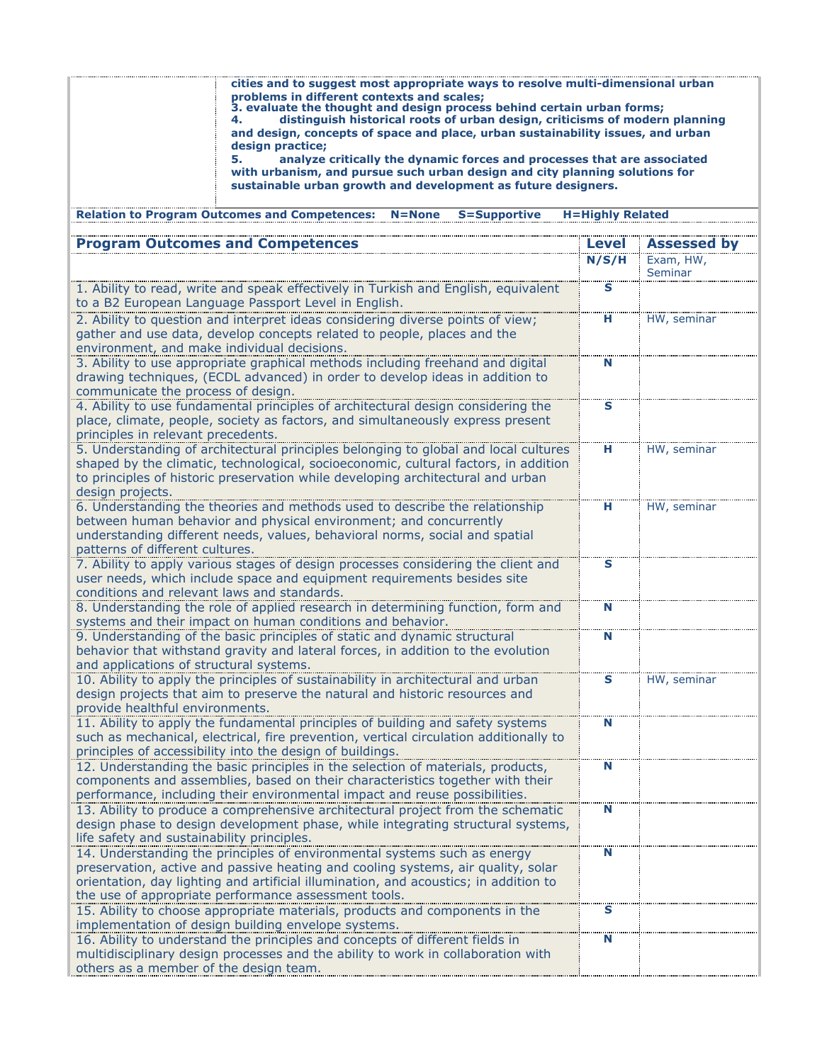| cities and to suggest most appropriate ways to resolve multi-dimensional urban<br>problems in different contexts and scales;<br>3. evaluate the thought and design process behind certain urban forms;<br>distinguish historical roots of urban design, criticisms of modern planning<br>and design, concepts of space and place, urban sustainability issues, and urban<br>design practice:<br>analyze critically the dynamic forces and processes that are associated<br>5.<br>with urbanism, and pursue such urban design and city planning solutions for<br>sustainable urban growth and development as future designers. |                         |                    |  |  |  |  |  |
|-------------------------------------------------------------------------------------------------------------------------------------------------------------------------------------------------------------------------------------------------------------------------------------------------------------------------------------------------------------------------------------------------------------------------------------------------------------------------------------------------------------------------------------------------------------------------------------------------------------------------------|-------------------------|--------------------|--|--|--|--|--|
| <b>Relation to Program Outcomes and Competences:</b><br><b>S=Supportive</b><br>$N = None$                                                                                                                                                                                                                                                                                                                                                                                                                                                                                                                                     | <b>H=Highly Related</b> |                    |  |  |  |  |  |
| <b>Program Ou</b><br>tcomes and Comneten                                                                                                                                                                                                                                                                                                                                                                                                                                                                                                                                                                                      | Level                   | <b>Assessed by</b> |  |  |  |  |  |
|                                                                                                                                                                                                                                                                                                                                                                                                                                                                                                                                                                                                                               | N/S/H                   | Exam, HW,          |  |  |  |  |  |
| 1. Ability to read, write and speak effectively in Turkish and English, equivalent                                                                                                                                                                                                                                                                                                                                                                                                                                                                                                                                            | s                       | Seminar            |  |  |  |  |  |
| to a B2 European Language Passport Level in English.                                                                                                                                                                                                                                                                                                                                                                                                                                                                                                                                                                          |                         |                    |  |  |  |  |  |
| 2. Ability to question and interpret ideas considering diverse points of view;                                                                                                                                                                                                                                                                                                                                                                                                                                                                                                                                                | н                       | HW, seminar        |  |  |  |  |  |
| gather and use data, develop concepts related to people, places and the<br>environment, and make individual decisions.                                                                                                                                                                                                                                                                                                                                                                                                                                                                                                        |                         |                    |  |  |  |  |  |
| 3. Ability to use appropriate graphical methods including freehand and digital                                                                                                                                                                                                                                                                                                                                                                                                                                                                                                                                                | N                       |                    |  |  |  |  |  |
| drawing techniques, (ECDL advanced) in order to develop ideas in addition to                                                                                                                                                                                                                                                                                                                                                                                                                                                                                                                                                  |                         |                    |  |  |  |  |  |
| communicate the process of design.                                                                                                                                                                                                                                                                                                                                                                                                                                                                                                                                                                                            |                         |                    |  |  |  |  |  |
| 4. Ability to use fundamental principles of architectural design considering the<br>place, climate, people, society as factors, and simultaneously express present                                                                                                                                                                                                                                                                                                                                                                                                                                                            | S                       |                    |  |  |  |  |  |
| principles in relevant precedents.                                                                                                                                                                                                                                                                                                                                                                                                                                                                                                                                                                                            |                         |                    |  |  |  |  |  |
| 5. Understanding of architectural principles belonging to global and local cultures                                                                                                                                                                                                                                                                                                                                                                                                                                                                                                                                           | н                       | HW, seminar        |  |  |  |  |  |
| shaped by the climatic, technological, socioeconomic, cultural factors, in addition<br>to principles of historic preservation while developing architectural and urban                                                                                                                                                                                                                                                                                                                                                                                                                                                        |                         |                    |  |  |  |  |  |
| design projects.                                                                                                                                                                                                                                                                                                                                                                                                                                                                                                                                                                                                              |                         |                    |  |  |  |  |  |
| 6. Understanding the theories and methods used to describe the relationship                                                                                                                                                                                                                                                                                                                                                                                                                                                                                                                                                   | н                       | HW, seminar        |  |  |  |  |  |
| between human behavior and physical environment; and concurrently                                                                                                                                                                                                                                                                                                                                                                                                                                                                                                                                                             |                         |                    |  |  |  |  |  |
| understanding different needs, values, behavioral norms, social and spatial<br>patterns of different cultures.                                                                                                                                                                                                                                                                                                                                                                                                                                                                                                                |                         |                    |  |  |  |  |  |
| 7. Ability to apply various stages of design processes considering the client and                                                                                                                                                                                                                                                                                                                                                                                                                                                                                                                                             | s                       |                    |  |  |  |  |  |
| user needs, which include space and equipment requirements besides site                                                                                                                                                                                                                                                                                                                                                                                                                                                                                                                                                       |                         |                    |  |  |  |  |  |
| conditions and relevant laws and standards.                                                                                                                                                                                                                                                                                                                                                                                                                                                                                                                                                                                   |                         |                    |  |  |  |  |  |
| 8. Understanding the role of applied research in determining function, form and<br>systems and their impact on human conditions and behavior.                                                                                                                                                                                                                                                                                                                                                                                                                                                                                 | N                       |                    |  |  |  |  |  |
| 9. Understanding of the basic principles of static and dynamic structural                                                                                                                                                                                                                                                                                                                                                                                                                                                                                                                                                     | N                       |                    |  |  |  |  |  |
| behavior that withstand gravity and lateral forces, in addition to the evolution                                                                                                                                                                                                                                                                                                                                                                                                                                                                                                                                              |                         |                    |  |  |  |  |  |
| and applications of structural systems.                                                                                                                                                                                                                                                                                                                                                                                                                                                                                                                                                                                       |                         |                    |  |  |  |  |  |
| 10. Ability to apply the principles of sustainability in architectural and urban<br>design projects that aim to preserve the natural and historic resources and                                                                                                                                                                                                                                                                                                                                                                                                                                                               | s                       | HW, seminar        |  |  |  |  |  |
| provide healthful environments.                                                                                                                                                                                                                                                                                                                                                                                                                                                                                                                                                                                               |                         |                    |  |  |  |  |  |
| 11. Ability to apply the fundamental principles of building and safety systems                                                                                                                                                                                                                                                                                                                                                                                                                                                                                                                                                | N                       |                    |  |  |  |  |  |
| such as mechanical, electrical, fire prevention, vertical circulation additionally to                                                                                                                                                                                                                                                                                                                                                                                                                                                                                                                                         |                         |                    |  |  |  |  |  |
| principles of accessibility into the design of buildings.<br>12. Understanding the basic principles in the selection of materials, products,                                                                                                                                                                                                                                                                                                                                                                                                                                                                                  | N                       |                    |  |  |  |  |  |
| components and assemblies, based on their characteristics together with their                                                                                                                                                                                                                                                                                                                                                                                                                                                                                                                                                 |                         |                    |  |  |  |  |  |
| performance, including their environmental impact and reuse possibilities.                                                                                                                                                                                                                                                                                                                                                                                                                                                                                                                                                    |                         |                    |  |  |  |  |  |
| 13. Ability to produce a comprehensive architectural project from the schematic                                                                                                                                                                                                                                                                                                                                                                                                                                                                                                                                               | N                       |                    |  |  |  |  |  |
| design phase to design development phase, while integrating structural systems,<br>life safety and sustainability principles.                                                                                                                                                                                                                                                                                                                                                                                                                                                                                                 |                         |                    |  |  |  |  |  |
| 14. Understanding the principles of environmental systems such as energy                                                                                                                                                                                                                                                                                                                                                                                                                                                                                                                                                      | N                       |                    |  |  |  |  |  |
| preservation, active and passive heating and cooling systems, air quality, solar                                                                                                                                                                                                                                                                                                                                                                                                                                                                                                                                              |                         |                    |  |  |  |  |  |
| orientation, day lighting and artificial illumination, and acoustics; in addition to<br>the use of appropriate performance assessment tools.                                                                                                                                                                                                                                                                                                                                                                                                                                                                                  |                         |                    |  |  |  |  |  |
| 15. Ability to choose appropriate materials, products and components in the                                                                                                                                                                                                                                                                                                                                                                                                                                                                                                                                                   | s                       |                    |  |  |  |  |  |
| implementation of design building envelope systems.                                                                                                                                                                                                                                                                                                                                                                                                                                                                                                                                                                           |                         |                    |  |  |  |  |  |
| 16. Ability to understand the principles and concepts of different fields in                                                                                                                                                                                                                                                                                                                                                                                                                                                                                                                                                  | N                       |                    |  |  |  |  |  |
| multidisciplinary design processes and the ability to work in collaboration with<br>others as a member of the design team.                                                                                                                                                                                                                                                                                                                                                                                                                                                                                                    |                         |                    |  |  |  |  |  |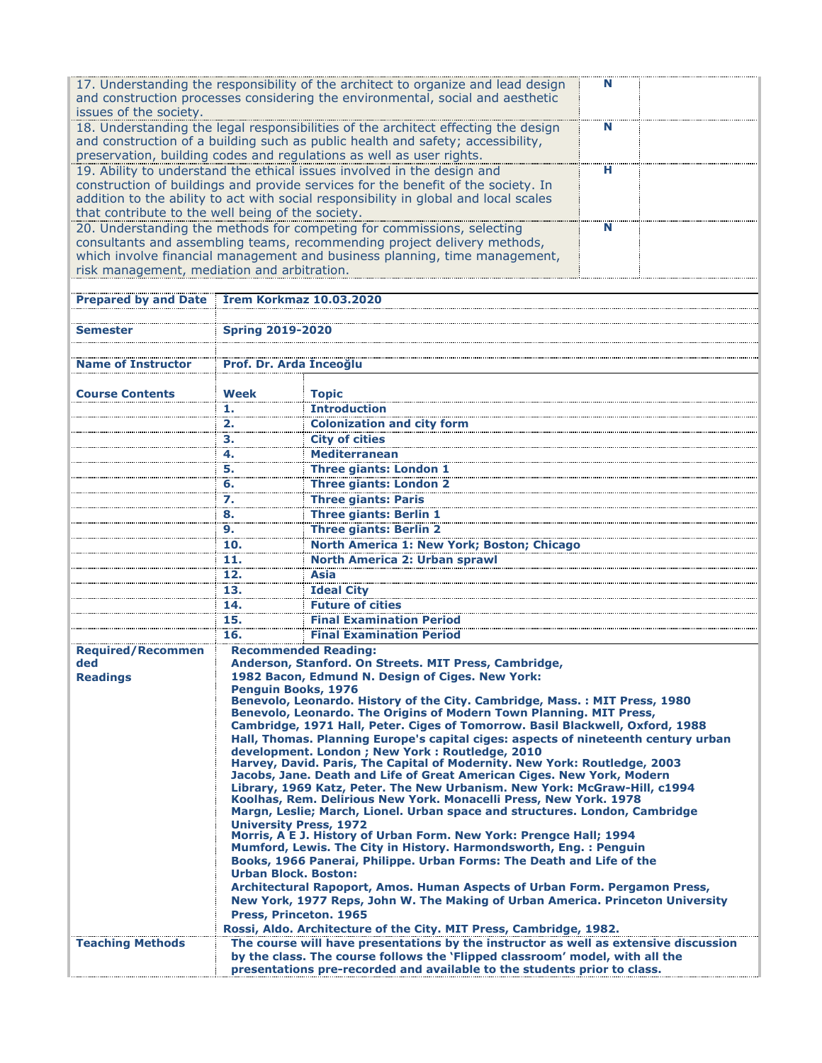| 17. Understanding the responsibility of the architect to organize and lead design<br>N                  |                                                                                                                                                                     |                                                                                      |   |  |  |
|---------------------------------------------------------------------------------------------------------|---------------------------------------------------------------------------------------------------------------------------------------------------------------------|--------------------------------------------------------------------------------------|---|--|--|
| and construction processes considering the environmental, social and aesthetic                          |                                                                                                                                                                     |                                                                                      |   |  |  |
| issues of the society.                                                                                  |                                                                                                                                                                     |                                                                                      |   |  |  |
|                                                                                                         |                                                                                                                                                                     | 18. Understanding the legal responsibilities of the architect effecting the design   | N |  |  |
|                                                                                                         |                                                                                                                                                                     | and construction of a building such as public health and safety; accessibility,      |   |  |  |
|                                                                                                         |                                                                                                                                                                     | preservation, building codes and regulations as well as user rights.                 |   |  |  |
|                                                                                                         |                                                                                                                                                                     | 19. Ability to understand the ethical issues involved in the design and              | н |  |  |
|                                                                                                         |                                                                                                                                                                     | construction of buildings and provide services for the benefit of the society. In    |   |  |  |
|                                                                                                         |                                                                                                                                                                     |                                                                                      |   |  |  |
|                                                                                                         |                                                                                                                                                                     | addition to the ability to act with social responsibility in global and local scales |   |  |  |
| that contribute to the well being of the society.                                                       |                                                                                                                                                                     |                                                                                      |   |  |  |
|                                                                                                         |                                                                                                                                                                     | 20. Understanding the methods for competing for commissions, selecting               | N |  |  |
|                                                                                                         |                                                                                                                                                                     | consultants and assembling teams, recommending project delivery methods,             |   |  |  |
|                                                                                                         |                                                                                                                                                                     | which involve financial management and business planning, time management,           |   |  |  |
| risk management, mediation and arbitration.                                                             |                                                                                                                                                                     |                                                                                      |   |  |  |
|                                                                                                         |                                                                                                                                                                     |                                                                                      |   |  |  |
| Prepared by and Date Irem Korkmaz 10.03.2020                                                            |                                                                                                                                                                     |                                                                                      |   |  |  |
|                                                                                                         |                                                                                                                                                                     |                                                                                      |   |  |  |
| <b>Semester</b>                                                                                         | <b>Spring 2019-2020</b>                                                                                                                                             |                                                                                      |   |  |  |
|                                                                                                         |                                                                                                                                                                     |                                                                                      |   |  |  |
|                                                                                                         |                                                                                                                                                                     |                                                                                      |   |  |  |
| <b>Name of Instructor</b>                                                                               | Prof. Dr. Arda İnceoğlu                                                                                                                                             |                                                                                      |   |  |  |
|                                                                                                         |                                                                                                                                                                     |                                                                                      |   |  |  |
| <b>Course Contents</b>                                                                                  | Week                                                                                                                                                                | <b>Topic</b>                                                                         |   |  |  |
|                                                                                                         | 1.                                                                                                                                                                  | <b>Introduction</b>                                                                  |   |  |  |
|                                                                                                         | 2.                                                                                                                                                                  | <b>Colonization and city form</b>                                                    |   |  |  |
|                                                                                                         | з.                                                                                                                                                                  | <b>City of cities</b>                                                                |   |  |  |
|                                                                                                         | 4.                                                                                                                                                                  | <b>Mediterranean</b>                                                                 |   |  |  |
|                                                                                                         | 5.                                                                                                                                                                  | <b>Three giants: London 1</b>                                                        |   |  |  |
|                                                                                                         |                                                                                                                                                                     |                                                                                      |   |  |  |
|                                                                                                         | 6.                                                                                                                                                                  | <b>Three giants: London 2</b>                                                        |   |  |  |
|                                                                                                         | 7.<br>.                                                                                                                                                             | <b>Three giants: Paris</b>                                                           |   |  |  |
|                                                                                                         | 8.                                                                                                                                                                  | <b>Three giants: Berlin 1</b>                                                        |   |  |  |
|                                                                                                         | 9.                                                                                                                                                                  | <b>Three giants: Berlin 2</b>                                                        |   |  |  |
|                                                                                                         | 10.                                                                                                                                                                 | North America 1: New York; Boston; Chicago                                           |   |  |  |
|                                                                                                         | 11.                                                                                                                                                                 | <b>North America 2: Urban sprawl</b>                                                 |   |  |  |
|                                                                                                         | 12.                                                                                                                                                                 | Asia                                                                                 |   |  |  |
|                                                                                                         | 13.                                                                                                                                                                 | <b>Ideal City</b>                                                                    |   |  |  |
|                                                                                                         | 14.                                                                                                                                                                 | <b>Future of cities</b>                                                              |   |  |  |
|                                                                                                         | 15.                                                                                                                                                                 |                                                                                      |   |  |  |
|                                                                                                         |                                                                                                                                                                     | <b>Final Examination Period</b>                                                      |   |  |  |
|                                                                                                         | 16.                                                                                                                                                                 | <b>Final Examination Period</b>                                                      |   |  |  |
|                                                                                                         | <b>Recommended Reading:</b><br><b>Required/Recommen</b>                                                                                                             |                                                                                      |   |  |  |
| ded                                                                                                     |                                                                                                                                                                     | Anderson, Stanford. On Streets. MIT Press, Cambridge,                                |   |  |  |
| <b>Readings</b>                                                                                         |                                                                                                                                                                     | 1982 Bacon, Edmund N. Design of Ciges. New York:                                     |   |  |  |
|                                                                                                         | <b>Penguin Books, 1976</b>                                                                                                                                          | Benevolo, Leonardo. History of the City. Cambridge, Mass.: MIT Press, 1980           |   |  |  |
|                                                                                                         |                                                                                                                                                                     | Benevolo, Leonardo. The Origins of Modern Town Planning. MIT Press,                  |   |  |  |
|                                                                                                         |                                                                                                                                                                     |                                                                                      |   |  |  |
|                                                                                                         | Cambridge, 1971 Hall, Peter. Ciges of Tomorrow. Basil Blackwell, Oxford, 1988<br>Hall, Thomas. Planning Europe's capital ciges: aspects of nineteenth century urban |                                                                                      |   |  |  |
|                                                                                                         | development, London ; New York ; Routledge, 2010                                                                                                                    |                                                                                      |   |  |  |
|                                                                                                         |                                                                                                                                                                     | Harvey, David. Paris, The Capital of Modernity. New York: Routledge, 2003            |   |  |  |
|                                                                                                         |                                                                                                                                                                     | Jacobs, Jane. Death and Life of Great American Ciges. New York, Modern               |   |  |  |
|                                                                                                         | Library, 1969 Katz, Peter. The New Urbanism. New York: McGraw-Hill, c1994<br>Koolhas, Rem. Delirious New York. Monacelli Press, New York. 1978                      |                                                                                      |   |  |  |
|                                                                                                         |                                                                                                                                                                     |                                                                                      |   |  |  |
|                                                                                                         | Margn, Leslie; March, Lionel. Urban space and structures. London, Cambridge                                                                                         |                                                                                      |   |  |  |
|                                                                                                         | <b>University Press, 1972</b>                                                                                                                                       |                                                                                      |   |  |  |
|                                                                                                         | Morris, A E J. History of Urban Form. New York: Prengce Hall; 1994<br>Mumford, Lewis. The City in History. Harmondsworth, Eng. : Penguin                            |                                                                                      |   |  |  |
|                                                                                                         |                                                                                                                                                                     |                                                                                      |   |  |  |
|                                                                                                         | Books, 1966 Panerai, Philippe. Urban Forms: The Death and Life of the<br><b>Urban Block, Boston:</b>                                                                |                                                                                      |   |  |  |
|                                                                                                         | Architectural Rapoport, Amos. Human Aspects of Urban Form. Pergamon Press,                                                                                          |                                                                                      |   |  |  |
|                                                                                                         | New York, 1977 Reps, John W. The Making of Urban America. Princeton University                                                                                      |                                                                                      |   |  |  |
|                                                                                                         | Press, Princeton. 1965                                                                                                                                              |                                                                                      |   |  |  |
|                                                                                                         | Rossi, Aldo. Architecture of the City. MIT Press, Cambridge, 1982.                                                                                                  |                                                                                      |   |  |  |
|                                                                                                         | The course will have presentations by the instructor as well as extensive discussion                                                                                |                                                                                      |   |  |  |
| <b>Teaching Methods</b><br>by the class. The course follows the 'Flipped classroom' model, with all the |                                                                                                                                                                     |                                                                                      |   |  |  |
| presentations pre-recorded and available to the students prior to class.                                |                                                                                                                                                                     |                                                                                      |   |  |  |
|                                                                                                         |                                                                                                                                                                     |                                                                                      |   |  |  |